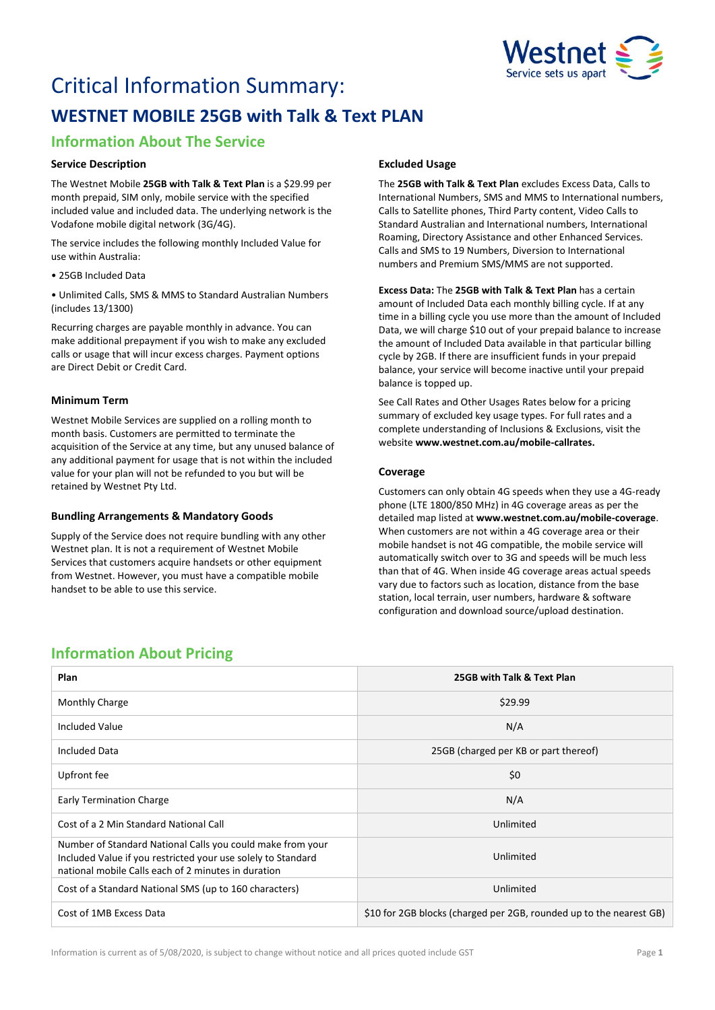

# Critical Information Summary: **WESTNET MOBILE 25GB with Talk & Text PLAN**

# **Information About The Service**

# **Service Description**

The Westnet Mobile **25GB with Talk & Text Plan** is a \$29.99 per month prepaid, SIM only, mobile service with the specified included value and included data. The underlying network is the Vodafone mobile digital network (3G/4G).

The service includes the following monthly Included Value for use within Australia:

• 25GB Included Data

• Unlimited Calls, SMS & MMS to Standard Australian Numbers (includes 13/1300)

Recurring charges are payable monthly in advance. You can make additional prepayment if you wish to make any excluded calls or usage that will incur excess charges. Payment options are Direct Debit or Credit Card.

# **Minimum Term**

Westnet Mobile Services are supplied on a rolling month to month basis. Customers are permitted to terminate the acquisition of the Service at any time, but any unused balance of any additional payment for usage that is not within the included value for your plan will not be refunded to you but will be retained by Westnet Pty Ltd.

## **Bundling Arrangements & Mandatory Goods**

Supply of the Service does not require bundling with any other Westnet plan. It is not a requirement of Westnet Mobile Services that customers acquire handsets or other equipment from Westnet. However, you must have a compatible mobile handset to be able to use this service.

# **Excluded Usage**

The **25GB with Talk & Text Plan** excludes Excess Data, Calls to International Numbers, SMS and MMS to International numbers, Calls to Satellite phones, Third Party content, Video Calls to Standard Australian and International numbers, International Roaming, Directory Assistance and other Enhanced Services. Calls and SMS to 19 Numbers, Diversion to International numbers and Premium SMS/MMS are not supported.

**Excess Data:** The **25GB with Talk & Text Plan** has a certain amount of Included Data each monthly billing cycle. If at any time in a billing cycle you use more than the amount of Included Data, we will charge \$10 out of your prepaid balance to increase the amount of Included Data available in that particular billing cycle by 2GB. If there are insufficient funds in your prepaid balance, your service will become inactive until your prepaid balance is topped up.

See Call Rates and Other Usages Rates below for a pricing summary of excluded key usage types. For full rates and a complete understanding of Inclusions & Exclusions, visit the website **[www.westnet.com.au/mobile-callrates.](http://www.westnet.com.au/mobile-callrates)**

# **Coverage**

Customers can only obtain 4G speeds when they use a 4G-ready phone (LTE 1800/850 MHz) in 4G coverage areas as per the detailed map listed at **[www.westnet.com.au/mobile-coverage](https://www.westnet.com.au/mobile-coverage)**. When customers are not within a 4G coverage area or their mobile handset is not 4G compatible, the mobile service will automatically switch over to 3G and speeds will be much less than that of 4G. When inside 4G coverage areas actual speeds vary due to factors such as location, distance from the base station, local terrain, user numbers, hardware & software configuration and download source/upload destination.

# **Information About Pricing**

| Plan                                                                                                                                                                              | 25GB with Talk & Text Plan                                          |
|-----------------------------------------------------------------------------------------------------------------------------------------------------------------------------------|---------------------------------------------------------------------|
| Monthly Charge                                                                                                                                                                    | \$29.99                                                             |
| <b>Included Value</b>                                                                                                                                                             | N/A                                                                 |
| <b>Included Data</b>                                                                                                                                                              | 25GB (charged per KB or part thereof)                               |
| Upfront fee                                                                                                                                                                       | \$0                                                                 |
| <b>Early Termination Charge</b>                                                                                                                                                   | N/A                                                                 |
| Cost of a 2 Min Standard National Call                                                                                                                                            | Unlimited                                                           |
| Number of Standard National Calls you could make from your<br>Included Value if you restricted your use solely to Standard<br>national mobile Calls each of 2 minutes in duration | Unlimited                                                           |
| Cost of a Standard National SMS (up to 160 characters)                                                                                                                            | Unlimited                                                           |
| Cost of 1MB Excess Data                                                                                                                                                           | \$10 for 2GB blocks (charged per 2GB, rounded up to the nearest GB) |